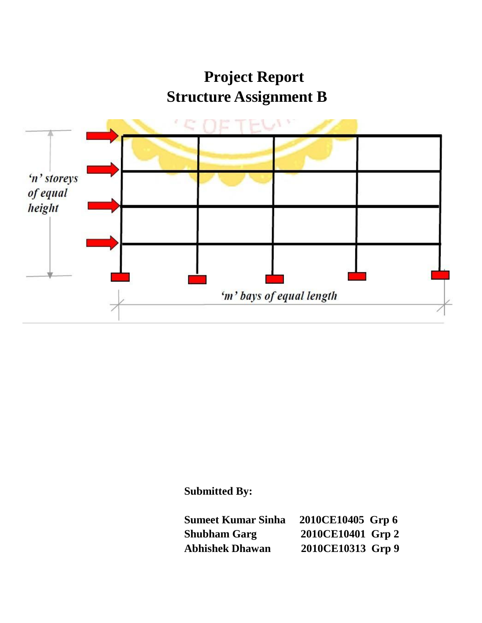**Project Report Structure Assignment B** 



## **Submitted By:**

| <b>Sumeet Kumar Sinha</b> | 2010CE10405 Grp 6 |
|---------------------------|-------------------|
| <b>Shubham Garg</b>       | 2010CE10401 Grp 2 |
| <b>Abhishek Dhawan</b>    | 2010CE10313 Grp 9 |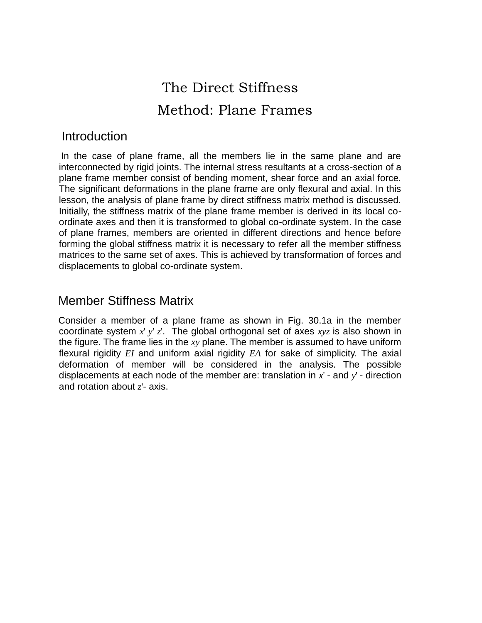## The Direct Stiffness Method: Plane Frames

#### **Introduction**

In the case of plane frame, all the members lie in the same plane and are interconnected by rigid joints. The internal stress resultants at a cross-section of a plane frame member consist of bending moment, shear force and an axial force. The significant deformations in the plane frame are only flexural and axial. In this lesson, the analysis of plane frame by direct stiffness matrix method is discussed. Initially, the stiffness matrix of the plane frame member is derived in its local coordinate axes and then it is transformed to global co-ordinate system. In the case of plane frames, members are oriented in different directions and hence before forming the global stiffness matrix it is necessary to refer all the member stiffness matrices to the same set of axes. This is achieved by transformation of forces and displacements to global co-ordinate system.

#### Member Stiffness Matrix

Consider a member of a plane frame as shown in Fig. 30.1a in the member coordinate system *x*' *y*' *z*'. The global orthogonal set of axes *xyz* is also shown in the figure. The frame lies in the *xy* plane. The member is assumed to have uniform flexural rigidity *EI* and uniform axial rigidity *EA* for sake of simplicity. The axial deformation of member will be considered in the analysis. The possible displacements at each node of the member are: translation in *x*' - and *y*' - direction and rotation about *z*'- axis.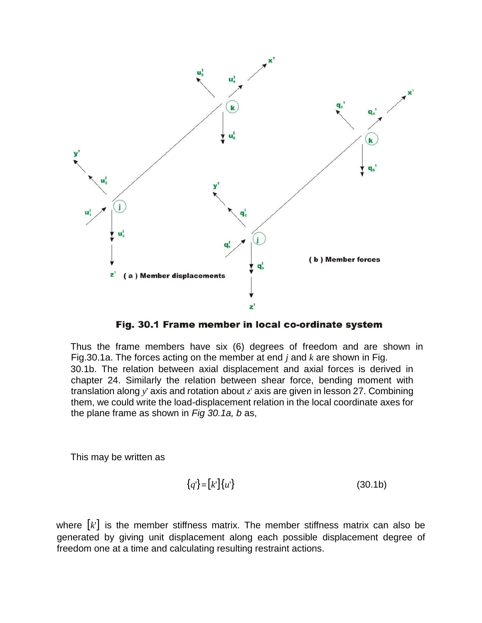

Fig. 30.1 Frame member in local co-ordinate system

Thus the frame members have six (6) degrees of freedom and are shown in Fig.30.1a. The forces acting on the member at end *j* and *k* are shown in Fig. 30.1b. The relation between axial displacement and axial forces is derived in chapter 24. Similarly the relation between shear force, bending moment with translation along *y*' axis and rotation about *z*' axis are given in lesson 27. Combining them, we could write the load-displacement relation in the local coordinate axes for the plane frame as shown in *Fig 30.1a, b* as,

This may be written as

$$
\{q'\} = [k']\{u'\} \tag{30.1b}
$$

where  $\lceil k \rceil$  is the member stiffness matrix. The member stiffness matrix can also be generated by giving unit displacement along each possible displacement degree of freedom one at a time and calculating resulting restraint actions.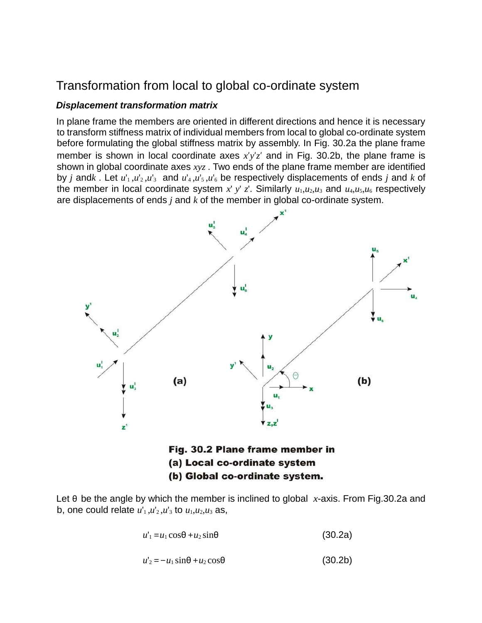### Transformation from local to global co-ordinate system

#### *Displacement transformation matrix*

In plane frame the members are oriented in different directions and hence it is necessary to transform stiffness matrix of individual members from local to global co-ordinate system before formulating the global stiffness matrix by assembly. In Fig. 30.2a the plane frame member is shown in local coordinate axes *x*′*y*′*z*′ and in Fig. 30.2b, the plane frame is shown in global coordinate axes *xyz* . Two ends of the plane frame member are identified by *j* and*k*. Let  $u'_1, u'_2, u'_3$  and  $u'_4, u'_5, u'_6$  be respectively displacements of ends *j* and *k* of the member in local coordinate system x' y' z'. Similarly  $u_1, u_2, u_3$  and  $u_4, u_5, u_6$  respectively are displacements of ends *j* and *k* of the member in global co-ordinate system.



(b) Global co-ordinate system.

Let θ be the angle by which the member is inclined to global *x*-axis. From Fig.30.2a and b, one could relate  $u'_1, u'_2, u'_3$  to  $u_1, u_2, u_3$  as,

$$
u'_{1} = u_{1} \cos \theta + u_{2} \sin \theta \tag{30.2a}
$$

$$
u'_{2} = -u_{1} \sin \theta + u_{2} \cos \theta \tag{30.2b}
$$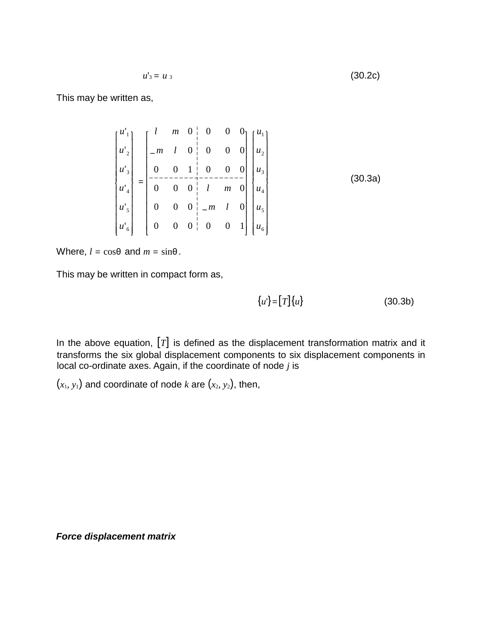$$
u'_{3} = u_{3} \tag{30.2c}
$$

This may be written as,

$$
\begin{bmatrix} u'_{1} \\ u'_{2} \\ u'_{3} \\ u'_{4} \\ u'_{5} \\ u'_{6} \end{bmatrix} = \begin{bmatrix} l & m & 0 & 0 & 0 & 0 \\ -m & l & 0 & 0 & 0 & 0 \\ 0 & 0 & 1 & 0 & 0 & 0 \\ -\cdots & -\cdots & -\cdots & -\cdots & -\cdots & -\cdots \\ 0 & 0 & 0 & l & m & 0 \\ 0 & 0 & 0 & -m & l & 0 \\ 0 & 0 & 0 & 0 & 0 & 1 \end{bmatrix} \begin{bmatrix} u_{1} \\ u_{2} \\ u_{3} \\ u_{4} \\ u_{5} \\ u_{6} \end{bmatrix}
$$
 (30.3a)

Where,  $l = \cos\theta$  and  $m = \sin\theta$ .

This may be written in compact form as,

$$
\{u'\} = [T]\{u\} \tag{30.3b}
$$

In the above equation, [*T*] is defined as the displacement transformation matrix and it transforms the six global displacement components to six displacement components in local co-ordinate axes. Again, if the coordinate of node *j* is

 $(x_1, y_1)$  and coordinate of node *k* are  $(x_2, y_2)$ , then,

*Force displacement matrix*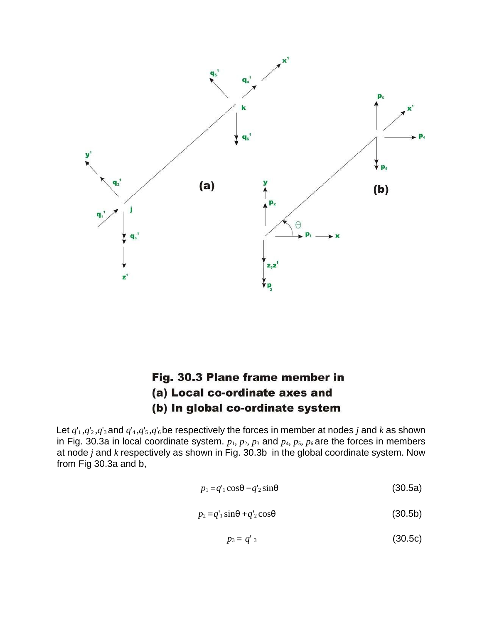

### Fig. 30.3 Plane frame member in (a) Local co-ordinate axes and (b) In global co-ordinate system

Let  $q_1$ , $q_2$ , $q_3$  and  $q_4$ , $q_5$ , $q_6$ be respectively the forces in member at nodes *j* and *k* as shown in Fig. 30.3a in local coordinate system.  $p_1$ ,  $p_2$ ,  $p_3$  and  $p_4$ ,  $p_5$ ,  $p_6$  are the forces in members at node *j* and *k* respectively as shown in Fig. 30.3b in the global coordinate system. Now from Fig 30.3a and b,

$$
p_1 = q_1 \cos \theta - q_2 \sin \theta \tag{30.5a}
$$

$$
p_2 = q'_1 \sin\theta + q'_2 \cos\theta \tag{30.5b}
$$

$$
p_3 = q'_{3} \tag{30.5c}
$$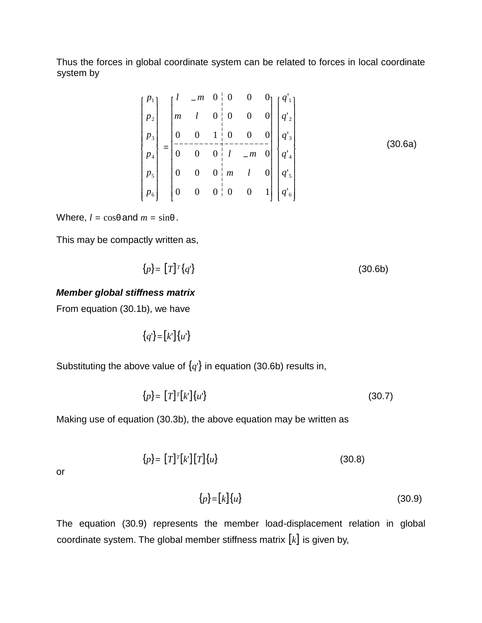Thus the forces in global coordinate system can be related to forces in local coordinate system by

$$
\begin{bmatrix} p_1 \\ p_2 \\ p_3 \\ p_4 \\ p_5 \\ p_6 \end{bmatrix} = \begin{bmatrix} l & -m & 0 & 0 & 0 & 0 \\ m & l & 0 & 0 & 0 & 0 \\ 0 & 0 & 1 & 0 & 0 & 0 \\ - & - & - & - & - & - & - \\ 0 & 0 & 0 & l & -m & 0 \\ 0 & 0 & 0 & m & l & 0 \\ 0 & 0 & 0 & 0 & 0 & 1 \end{bmatrix} \begin{bmatrix} q'_1 \\ q'_2 \\ q'_3 \\ q'_4 \\ q'_5 \\ q'_6 \end{bmatrix}
$$
(30.6a)

Where,  $l = \cos\theta$  and  $m = \sin\theta$ .

This may be compactly written as,

$$
\{p\} = [T]^T \{q'\} \tag{30.6b}
$$

#### *Member global stiffness matrix*

From equation (30.1b), we have

{*q*'}=[*k*']{*u*'}

Substituting the above value of  $\{q\}$  in equation (30.6b) results in,

$$
\{p\} = [T]^T[k']\{u'\} \tag{30.7}
$$

Making use of equation (30.3b), the above equation may be written as

$$
\{p\} = [T]^T[k'] [T] \{u\} \tag{30.8}
$$

or

$$
\{p\} = [k] \{u\} \tag{30.9}
$$

The equation (30.9) represents the member load-displacement relation in global coordinate system. The global member stiffness matrix [*k*] is given by,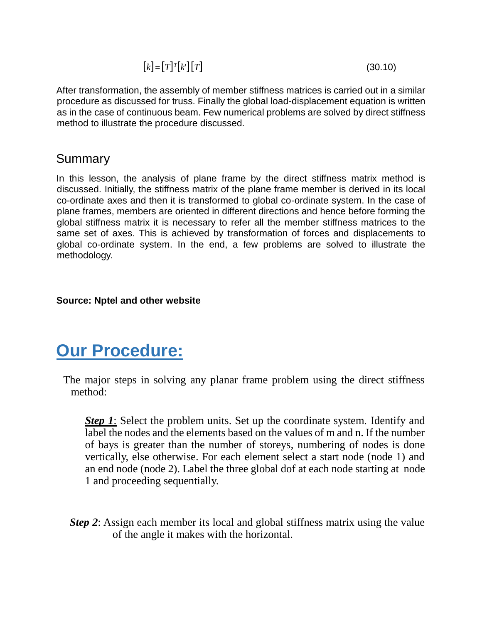$$
[k] = [T]^T [k^r][T] \tag{30.10}
$$

After transformation, the assembly of member stiffness matrices is carried out in a similar procedure as discussed for truss. Finally the global load-displacement equation is written as in the case of continuous beam. Few numerical problems are solved by direct stiffness method to illustrate the procedure discussed.

#### Summary

In this lesson, the analysis of plane frame by the direct stiffness matrix method is discussed. Initially, the stiffness matrix of the plane frame member is derived in its local co-ordinate axes and then it is transformed to global co-ordinate system. In the case of plane frames, members are oriented in different directions and hence before forming the global stiffness matrix it is necessary to refer all the member stiffness matrices to the same set of axes. This is achieved by transformation of forces and displacements to global co-ordinate system. In the end, a few problems are solved to illustrate the methodology.

#### **Source: Nptel and other website**

# **Our Procedure:**

The major steps in solving any planar frame problem using the direct stiffness method:

*Step 1*: Select the problem units. Set up the coordinate system. Identify and label the nodes and the elements based on the values of m and n. If the number of bays is greater than the number of storeys, numbering of nodes is done vertically, else otherwise. For each element select a start node (node 1) and an end node (node 2). Label the three global dof at each node starting at node 1 and proceeding sequentially.

*Step 2*: Assign each member its local and global stiffness matrix using the value of the angle it makes with the horizontal.